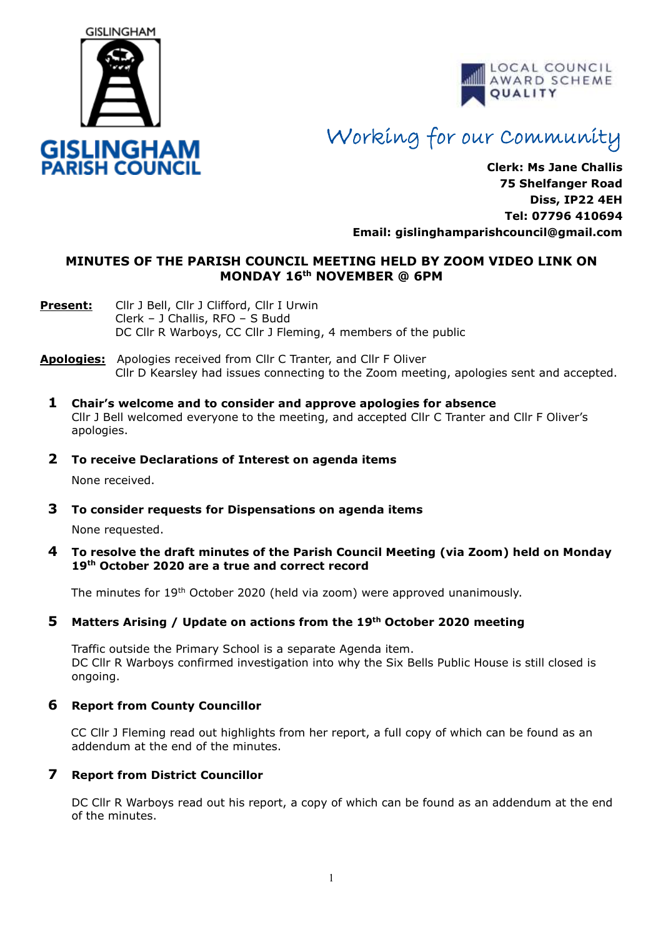



# Working for our Community

**Clerk: Ms Jane Challis 75 Shelfanger Road Diss, IP22 4EH Tel: 07796 410694 Email: [gislinghamparishcouncil@gmail.com](mailto:gislinghamparishcouncil@gmail.com)**

# **MINUTES OF THE PARISH COUNCIL MEETING HELD BY ZOOM VIDEO LINK ON MONDAY 16 th NOVEMBER @ 6PM**

- **Present:** Cllr J Bell, Cllr J Clifford, Cllr I Urwin Clerk – J Challis, RFO – S Budd DC Cllr R Warboys, CC Cllr J Fleming, 4 members of the public
- **Apologies:** Apologies received from Cllr C Tranter, and Cllr F Oliver Cllr D Kearsley had issues connecting to the Zoom meeting, apologies sent and accepted.
	- **1 Chair's welcome and to consider and approve apologies for absence** Cllr J Bell welcomed everyone to the meeting, and accepted Cllr C Tranter and Cllr F Oliver's apologies.
	- **2 To receive Declarations of Interest on agenda items**

None received.

**3 To consider requests for Dispensations on agenda items**

None requested.

**4 To resolve the draft minutes of the Parish Council Meeting (via Zoom) held on Monday 19th October 2020 are a true and correct record** 

The minutes for 19th October 2020 (held via zoom) were approved unanimously.

# **5 Matters Arising / Update on actions from the 19th October 2020 meeting**

Traffic outside the Primary School is a separate Agenda item. DC Cllr R Warboys confirmed investigation into why the Six Bells Public House is still closed is ongoing.

# **6 Report from County Councillor**

CC Cllr J Fleming read out highlights from her report, a full copy of which can be found as an addendum at the end of the minutes.

# **7 Report from District Councillor**

DC Cllr R Warboys read out his report, a copy of which can be found as an addendum at the end of the minutes.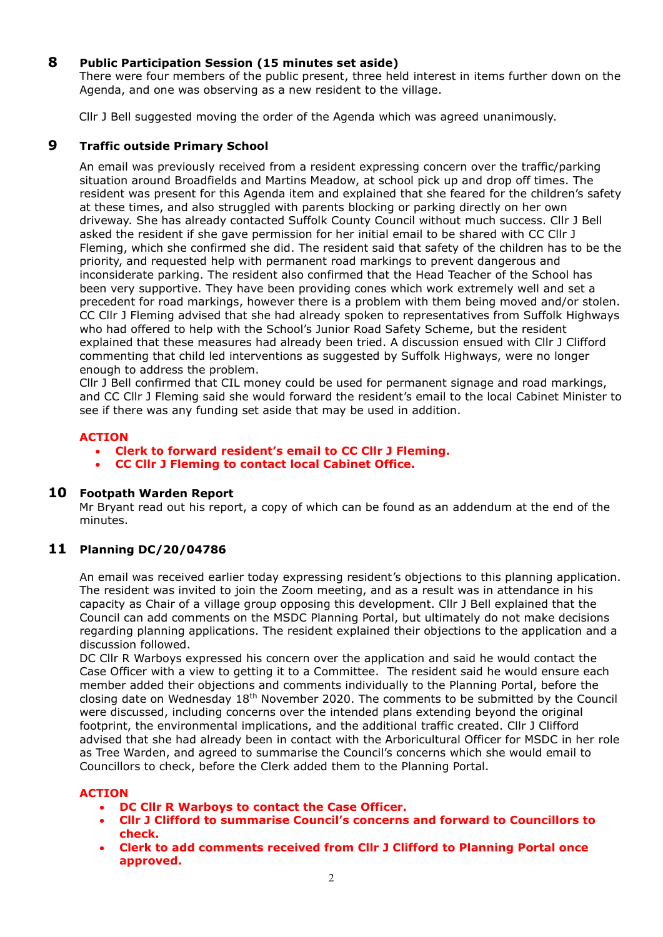# **8 Public Participation Session (15 minutes set aside)**

There were four members of the public present, three held interest in items further down on the Agenda, and one was observing as a new resident to the village.

Cllr J Bell suggested moving the order of the Agenda which was agreed unanimously.

# **9 Traffic outside Primary School**

 An email was previously received from a resident expressing concern over the traffic/parking situation around Broadfields and Martins Meadow, at school pick up and drop off times. The resident was present for this Agenda item and explained that she feared for the children's safety at these times, and also struggled with parents blocking or parking directly on her own driveway. She has already contacted Suffolk County Council without much success. Cllr J Bell asked the resident if she gave permission for her initial email to be shared with CC Cllr J Fleming, which she confirmed she did. The resident said that safety of the children has to be the priority, and requested help with permanent road markings to prevent dangerous and inconsiderate parking. The resident also confirmed that the Head Teacher of the School has been very supportive. They have been providing cones which work extremely well and set a precedent for road markings, however there is a problem with them being moved and/or stolen. CC Cllr J Fleming advised that she had already spoken to representatives from Suffolk Highways who had offered to help with the School's Junior Road Safety Scheme, but the resident explained that these measures had already been tried. A discussion ensued with Cllr J Clifford commenting that child led interventions as suggested by Suffolk Highways, were no longer enough to address the problem.

 Cllr J Bell confirmed that CIL money could be used for permanent signage and road markings, and CC Cllr J Fleming said she would forward the resident's email to the local Cabinet Minister to see if there was any funding set aside that may be used in addition.

#### **ACTION**

- **Clerk to forward resident's email to CC Cllr J Fleming.**
- **CC Cllr J Fleming to contact local Cabinet Office.**

#### **10 Footpath Warden Report**

 Mr Bryant read out his report, a copy of which can be found as an addendum at the end of the minutes.

# **11 Planning DC/20/04786**

An email was received earlier today expressing resident's objections to this planning application. The resident was invited to join the Zoom meeting, and as a result was in attendance in his capacity as Chair of a village group opposing this development. Cllr J Bell explained that the Council can add comments on the MSDC Planning Portal, but ultimately do not make decisions regarding planning applications. The resident explained their objections to the application and a discussion followed.

 DC Cllr R Warboys expressed his concern over the application and said he would contact the Case Officer with a view to getting it to a Committee. The resident said he would ensure each member added their objections and comments individually to the Planning Portal, before the closing date on Wednesday  $18<sup>th</sup>$  November 2020. The comments to be submitted by the Council were discussed, including concerns over the intended plans extending beyond the original footprint, the environmental implications, and the additional traffic created. Cllr J Clifford advised that she had already been in contact with the Arboricultural Officer for MSDC in her role as Tree Warden, and agreed to summarise the Council's concerns which she would email to Councillors to check, before the Clerk added them to the Planning Portal.

#### **ACTION**

- **DC Cllr R Warboys to contact the Case Officer.**
- **Cllr J Clifford to summarise Council's concerns and forward to Councillors to check.**
- **Clerk to add comments received from Cllr J Clifford to Planning Portal once approved.**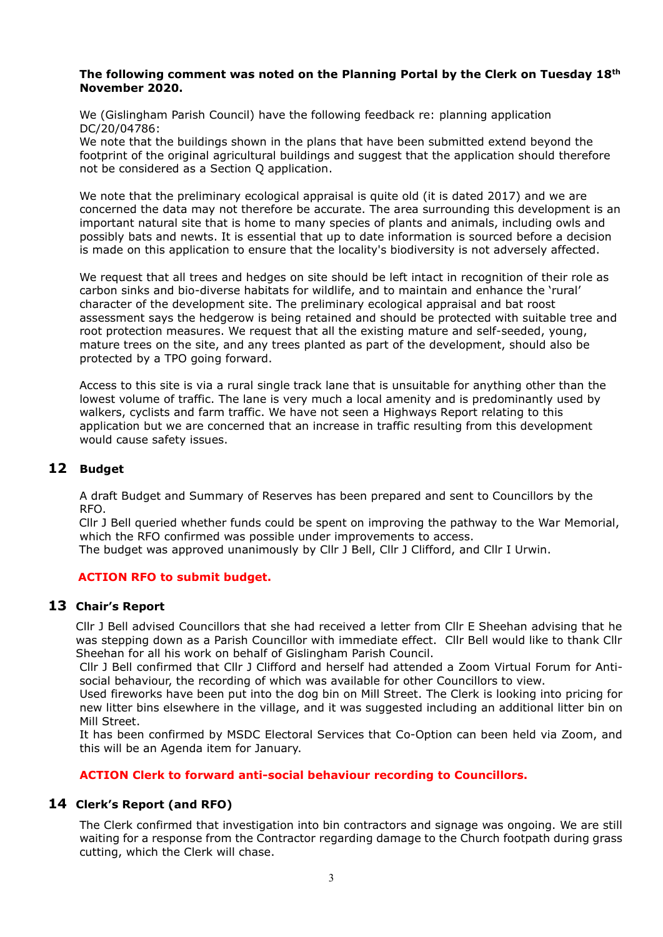#### **The following comment was noted on the Planning Portal by the Clerk on Tuesday 18th November 2020.**

 We (Gislingham Parish Council) have the following feedback re: planning application DC/20/04786:

 We note that the buildings shown in the plans that have been submitted extend beyond the footprint of the original agricultural buildings and suggest that the application should therefore not be considered as a Section Q application.

 We note that the preliminary ecological appraisal is quite old (it is dated 2017) and we are concerned the data may not therefore be accurate. The area surrounding this development is an important natural site that is home to many species of plants and animals, including owls and possibly bats and newts. It is essential that up to date information is sourced before a decision is made on this application to ensure that the locality's biodiversity is not adversely affected.

 We request that all trees and hedges on site should be left intact in recognition of their role as carbon sinks and bio-diverse habitats for wildlife, and to maintain and enhance the 'rural' character of the development site. The preliminary ecological appraisal and bat roost assessment says the hedgerow is being retained and should be protected with suitable tree and root protection measures. We request that all the existing mature and self-seeded, young, mature trees on the site, and any trees planted as part of the development, should also be protected by a TPO going forward.

 Access to this site is via a rural single track lane that is unsuitable for anything other than the lowest volume of traffic. The lane is very much a local amenity and is predominantly used by walkers, cyclists and farm traffic. We have not seen a Highways Report relating to this application but we are concerned that an increase in traffic resulting from this development would cause safety issues.

# **12 Budget**

A draft Budget and Summary of Reserves has been prepared and sent to Councillors by the RFO.

 Cllr J Bell queried whether funds could be spent on improving the pathway to the War Memorial, which the RFO confirmed was possible under improvements to access. The budget was approved unanimously by Cllr J Bell, Cllr J Clifford, and Cllr I Urwin.

# **ACTION RFO to submit budget.**

#### **13 Chair's Report**

Cllr J Bell advised Councillors that she had received a letter from Cllr E Sheehan advising that he was stepping down as a Parish Councillor with immediate effect. Cllr Bell would like to thank Cllr Sheehan for all his work on behalf of Gislingham Parish Council.

Cllr J Bell confirmed that Cllr J Clifford and herself had attended a Zoom Virtual Forum for Antisocial behaviour, the recording of which was available for other Councillors to view.

Used fireworks have been put into the dog bin on Mill Street. The Clerk is looking into pricing for new litter bins elsewhere in the village, and it was suggested including an additional litter bin on Mill Street.

It has been confirmed by MSDC Electoral Services that Co-Option can been held via Zoom, and this will be an Agenda item for January.

#### **ACTION Clerk to forward anti-social behaviour recording to Councillors.**

# **14 Clerk's Report (and RFO)**

The Clerk confirmed that investigation into bin contractors and signage was ongoing. We are still waiting for a response from the Contractor regarding damage to the Church footpath during grass cutting, which the Clerk will chase.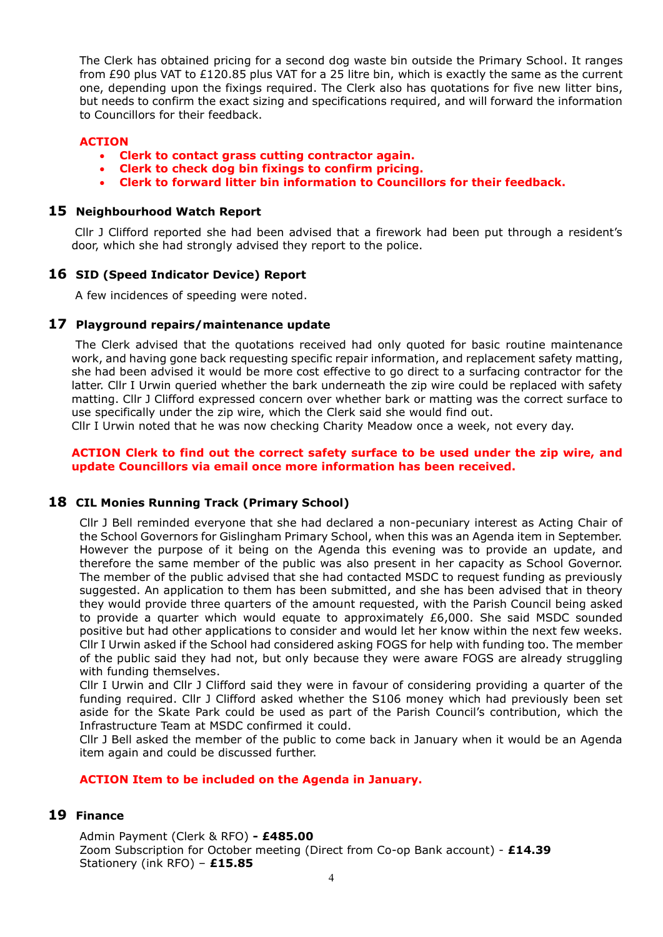The Clerk has obtained pricing for a second dog waste bin outside the Primary School. It ranges from £90 plus VAT to £120.85 plus VAT for a 25 litre bin, which is exactly the same as the current one, depending upon the fixings required. The Clerk also has quotations for five new litter bins, but needs to confirm the exact sizing and specifications required, and will forward the information to Councillors for their feedback.

#### **ACTION**

- **Clerk to contact grass cutting contractor again.**
- **Clerk to check dog bin fixings to confirm pricing.**
- **Clerk to forward litter bin information to Councillors for their feedback.**

#### **15 Neighbourhood Watch Report**

Cllr J Clifford reported she had been advised that a firework had been put through a resident's door, which she had strongly advised they report to the police.

#### **16 SID (Speed Indicator Device) Report**

A few incidences of speeding were noted.

#### **17 Playground repairs/maintenance update**

The Clerk advised that the quotations received had only quoted for basic routine maintenance work, and having gone back requesting specific repair information, and replacement safety matting, she had been advised it would be more cost effective to go direct to a surfacing contractor for the latter. Cllr I Urwin queried whether the bark underneath the zip wire could be replaced with safety matting. Cllr J Clifford expressed concern over whether bark or matting was the correct surface to use specifically under the zip wire, which the Clerk said she would find out.

Cllr I Urwin noted that he was now checking Charity Meadow once a week, not every day.

#### **ACTION Clerk to find out the correct safety surface to be used under the zip wire, and update Councillors via email once more information has been received.**

#### **18 CIL Monies Running Track (Primary School)**

Cllr J Bell reminded everyone that she had declared a non-pecuniary interest as Acting Chair of the School Governors for Gislingham Primary School, when this was an Agenda item in September. However the purpose of it being on the Agenda this evening was to provide an update, and therefore the same member of the public was also present in her capacity as School Governor. The member of the public advised that she had contacted MSDC to request funding as previously suggested. An application to them has been submitted, and she has been advised that in theory they would provide three quarters of the amount requested, with the Parish Council being asked to provide a quarter which would equate to approximately £6,000. She said MSDC sounded positive but had other applications to consider and would let her know within the next few weeks. Cllr I Urwin asked if the School had considered asking FOGS for help with funding too. The member of the public said they had not, but only because they were aware FOGS are already struggling with funding themselves.

Cllr I Urwin and Cllr J Clifford said they were in favour of considering providing a quarter of the funding required. Cllr J Clifford asked whether the S106 money which had previously been set aside for the Skate Park could be used as part of the Parish Council's contribution, which the Infrastructure Team at MSDC confirmed it could.

Cllr J Bell asked the member of the public to come back in January when it would be an Agenda item again and could be discussed further.

#### **ACTION Item to be included on the Agenda in January.**

# **19 Finance**

Admin Payment (Clerk & RFO) **- £485.00** Zoom Subscription for October meeting (Direct from Co-op Bank account) - **£14.39** Stationery (ink RFO) – **£15.85**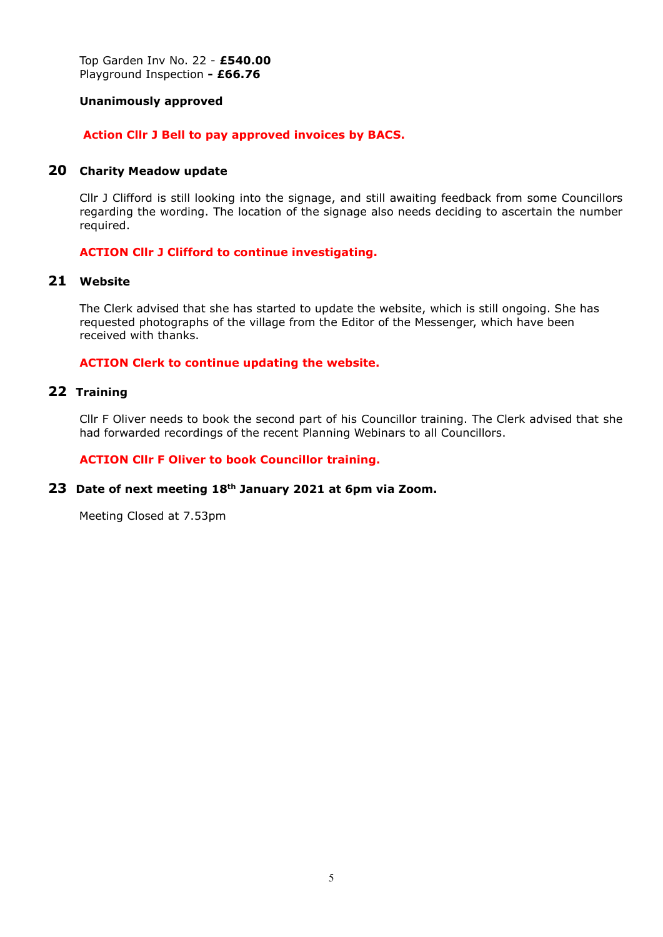Top Garden Inv No. 22 - **£540.00** Playground Inspection **- £66.76**

#### **Unanimously approved**

#### **Action Cllr J Bell to pay approved invoices by BACS.**

#### **20 Charity Meadow update**

Cllr J Clifford is still looking into the signage, and still awaiting feedback from some Councillors regarding the wording. The location of the signage also needs deciding to ascertain the number required.

#### **ACTION Cllr J Clifford to continue investigating.**

# **21 Website**

The Clerk advised that she has started to update the website, which is still ongoing. She has requested photographs of the village from the Editor of the Messenger, which have been received with thanks.

#### **ACTION Clerk to continue updating the website.**

#### **22 Training**

Cllr F Oliver needs to book the second part of his Councillor training. The Clerk advised that she had forwarded recordings of the recent Planning Webinars to all Councillors.

#### **ACTION Cllr F Oliver to book Councillor training.**

#### **23 Date of next meeting 18th January 2021 at 6pm via Zoom.**

Meeting Closed at 7.53pm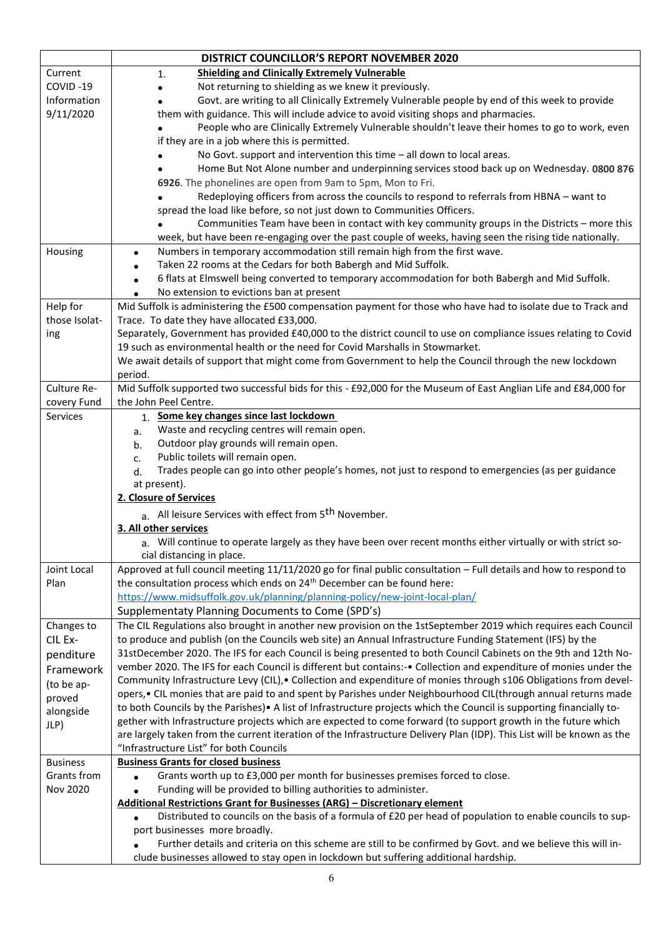|                           | <b>DISTRICT COUNCILLOR'S REPORT NOVEMBER 2020</b>                                                                                                                                               |  |  |  |  |  |  |  |
|---------------------------|-------------------------------------------------------------------------------------------------------------------------------------------------------------------------------------------------|--|--|--|--|--|--|--|
| Current                   | <b>Shielding and Clinically Extremely Vulnerable</b><br>1.                                                                                                                                      |  |  |  |  |  |  |  |
| COVID-19                  | Not returning to shielding as we knew it previously.                                                                                                                                            |  |  |  |  |  |  |  |
| Information               | Govt. are writing to all Clinically Extremely Vulnerable people by end of this week to provide                                                                                                  |  |  |  |  |  |  |  |
| 9/11/2020                 | them with guidance. This will include advice to avoid visiting shops and pharmacies.                                                                                                            |  |  |  |  |  |  |  |
|                           | People who are Clinically Extremely Vulnerable shouldn't leave their homes to go to work, even                                                                                                  |  |  |  |  |  |  |  |
|                           | if they are in a job where this is permitted.                                                                                                                                                   |  |  |  |  |  |  |  |
|                           | No Govt. support and intervention this time - all down to local areas.                                                                                                                          |  |  |  |  |  |  |  |
|                           | Home But Not Alone number and underpinning services stood back up on Wednesday. 0800 876                                                                                                        |  |  |  |  |  |  |  |
|                           | 6926. The phonelines are open from 9am to 5pm, Mon to Fri.                                                                                                                                      |  |  |  |  |  |  |  |
|                           | Redeploying officers from across the councils to respond to referrals from HBNA - want to                                                                                                       |  |  |  |  |  |  |  |
|                           | spread the load like before, so not just down to Communities Officers.                                                                                                                          |  |  |  |  |  |  |  |
|                           | Communities Team have been in contact with key community groups in the Districts - more this                                                                                                    |  |  |  |  |  |  |  |
|                           | week, but have been re-engaging over the past couple of weeks, having seen the rising tide nationally.                                                                                          |  |  |  |  |  |  |  |
| Housing                   | Numbers in temporary accommodation still remain high from the first wave.<br>$\bullet$                                                                                                          |  |  |  |  |  |  |  |
|                           | Taken 22 rooms at the Cedars for both Babergh and Mid Suffolk.<br>$\bullet$                                                                                                                     |  |  |  |  |  |  |  |
|                           | 6 flats at Elmswell being converted to temporary accommodation for both Babergh and Mid Suffolk.<br>$\bullet$                                                                                   |  |  |  |  |  |  |  |
|                           | No extension to evictions ban at present                                                                                                                                                        |  |  |  |  |  |  |  |
| Help for<br>those Isolat- | Mid Suffolk is administering the £500 compensation payment for those who have had to isolate due to Track and<br>Trace. To date they have allocated £33,000.                                    |  |  |  |  |  |  |  |
| ing                       | Separately, Government has provided £40,000 to the district council to use on compliance issues relating to Covid                                                                               |  |  |  |  |  |  |  |
|                           | 19 such as environmental health or the need for Covid Marshalls in Stowmarket.                                                                                                                  |  |  |  |  |  |  |  |
|                           | We await details of support that might come from Government to help the Council through the new lockdown                                                                                        |  |  |  |  |  |  |  |
|                           | period.                                                                                                                                                                                         |  |  |  |  |  |  |  |
| Culture Re-               | Mid Suffolk supported two successful bids for this - £92,000 for the Museum of East Anglian Life and £84,000 for                                                                                |  |  |  |  |  |  |  |
| covery Fund               | the John Peel Centre.                                                                                                                                                                           |  |  |  |  |  |  |  |
| Services                  | 1. Some key changes since last lockdown                                                                                                                                                         |  |  |  |  |  |  |  |
|                           | Waste and recycling centres will remain open.<br>a.                                                                                                                                             |  |  |  |  |  |  |  |
|                           | Outdoor play grounds will remain open.<br>b.                                                                                                                                                    |  |  |  |  |  |  |  |
|                           | Public toilets will remain open.<br>c.                                                                                                                                                          |  |  |  |  |  |  |  |
|                           | Trades people can go into other people's homes, not just to respond to emergencies (as per guidance<br>d.                                                                                       |  |  |  |  |  |  |  |
|                           | at present).                                                                                                                                                                                    |  |  |  |  |  |  |  |
|                           | 2. Closure of Services                                                                                                                                                                          |  |  |  |  |  |  |  |
|                           | a. All leisure Services with effect from 5 <sup>th</sup> November.                                                                                                                              |  |  |  |  |  |  |  |
|                           | 3. All other services                                                                                                                                                                           |  |  |  |  |  |  |  |
|                           | a. Will continue to operate largely as they have been over recent months either virtually or with strict so                                                                                     |  |  |  |  |  |  |  |
| Joint Local               | cial distancing in place.<br>Approved at full council meeting 11/11/2020 go for final public consultation - Full details and how to respond to                                                  |  |  |  |  |  |  |  |
| Plan                      | the consultation process which ends on 24 <sup>th</sup> December can be found here:                                                                                                             |  |  |  |  |  |  |  |
|                           | https://www.midsuffolk.gov.uk/planning/planning-policy/new-joint-local-plan/                                                                                                                    |  |  |  |  |  |  |  |
|                           | Supplementaty Planning Documents to Come (SPD's)                                                                                                                                                |  |  |  |  |  |  |  |
| Changes to                | The CIL Regulations also brought in another new provision on the 1stSeptember 2019 which requires each Council                                                                                  |  |  |  |  |  |  |  |
| CIL Ex-                   | to produce and publish (on the Councils web site) an Annual Infrastructure Funding Statement (IFS) by the                                                                                       |  |  |  |  |  |  |  |
| penditure                 | 31stDecember 2020. The IFS for each Council is being presented to both Council Cabinets on the 9th and 12th No-                                                                                 |  |  |  |  |  |  |  |
| Framework                 | vember 2020. The IFS for each Council is different but contains:-• Collection and expenditure of monies under the                                                                               |  |  |  |  |  |  |  |
| (to be ap-                | Community Infrastructure Levy (CIL), • Collection and expenditure of monies through s106 Obligations from devel-                                                                                |  |  |  |  |  |  |  |
| proved                    | opers, • CIL monies that are paid to and spent by Parishes under Neighbourhood CIL(through annual returns made                                                                                  |  |  |  |  |  |  |  |
| alongside                 | to both Councils by the Parishes) • A list of Infrastructure projects which the Council is supporting financially to-                                                                           |  |  |  |  |  |  |  |
| JLP)                      | gether with Infrastructure projects which are expected to come forward (to support growth in the future which                                                                                   |  |  |  |  |  |  |  |
|                           | are largely taken from the current iteration of the Infrastructure Delivery Plan (IDP). This List will be known as the                                                                          |  |  |  |  |  |  |  |
|                           | "Infrastructure List" for both Councils                                                                                                                                                         |  |  |  |  |  |  |  |
| <b>Business</b>           | <b>Business Grants for closed business</b>                                                                                                                                                      |  |  |  |  |  |  |  |
| Grants from               | Grants worth up to £3,000 per month for businesses premises forced to close.                                                                                                                    |  |  |  |  |  |  |  |
| Nov 2020                  | Funding will be provided to billing authorities to administer.                                                                                                                                  |  |  |  |  |  |  |  |
|                           | <b>Additional Restrictions Grant for Businesses (ARG) - Discretionary element</b><br>Distributed to councils on the basis of a formula of £20 per head of population to enable councils to sup- |  |  |  |  |  |  |  |
|                           | port businesses more broadly.                                                                                                                                                                   |  |  |  |  |  |  |  |
|                           | Further details and criteria on this scheme are still to be confirmed by Govt. and we believe this will in-                                                                                     |  |  |  |  |  |  |  |
|                           | clude businesses allowed to stay open in lockdown but suffering additional hardship.                                                                                                            |  |  |  |  |  |  |  |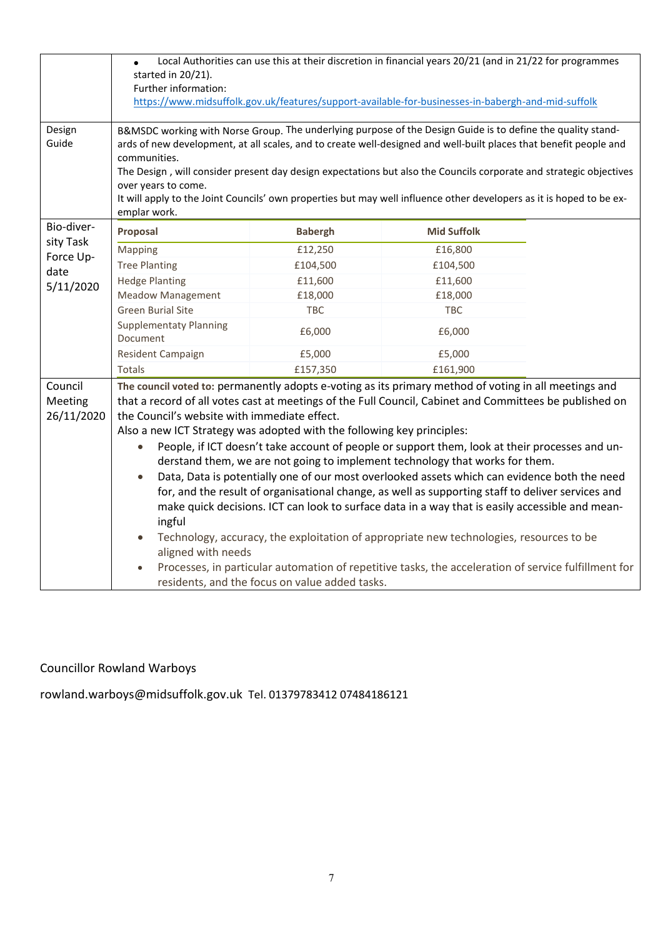|                        | Local Authorities can use this at their discretion in financial years 20/21 (and in 21/22 for programmes                                                                                                                                         |                |                    |  |  |  |  |  |  |
|------------------------|--------------------------------------------------------------------------------------------------------------------------------------------------------------------------------------------------------------------------------------------------|----------------|--------------------|--|--|--|--|--|--|
|                        | started in 20/21).<br>Further information:                                                                                                                                                                                                       |                |                    |  |  |  |  |  |  |
|                        |                                                                                                                                                                                                                                                  |                |                    |  |  |  |  |  |  |
|                        | https://www.midsuffolk.gov.uk/features/support-available-for-businesses-in-babergh-and-mid-suffolk                                                                                                                                               |                |                    |  |  |  |  |  |  |
| Design<br>Guide        | B&MSDC working with Norse Group. The underlying purpose of the Design Guide is to define the quality stand-<br>ards of new development, at all scales, and to create well-designed and well-built places that benefit people and<br>communities. |                |                    |  |  |  |  |  |  |
|                        | The Design, will consider present day design expectations but also the Councils corporate and strategic objectives                                                                                                                               |                |                    |  |  |  |  |  |  |
|                        | over years to come.                                                                                                                                                                                                                              |                |                    |  |  |  |  |  |  |
|                        | It will apply to the Joint Councils' own properties but may well influence other developers as it is hoped to be ex-                                                                                                                             |                |                    |  |  |  |  |  |  |
|                        | emplar work.                                                                                                                                                                                                                                     |                |                    |  |  |  |  |  |  |
| Bio-diver-             | Proposal                                                                                                                                                                                                                                         | <b>Babergh</b> | <b>Mid Suffolk</b> |  |  |  |  |  |  |
| sity Task<br>Force Up- | Mapping                                                                                                                                                                                                                                          | £12,250        | £16,800            |  |  |  |  |  |  |
| date                   | <b>Tree Planting</b>                                                                                                                                                                                                                             | £104,500       | £104,500           |  |  |  |  |  |  |
| 5/11/2020              | <b>Hedge Planting</b>                                                                                                                                                                                                                            | £11,600        | £11,600            |  |  |  |  |  |  |
|                        | <b>Meadow Management</b>                                                                                                                                                                                                                         | £18,000        | £18,000            |  |  |  |  |  |  |
|                        | <b>Green Burial Site</b>                                                                                                                                                                                                                         | TBC            | <b>TBC</b>         |  |  |  |  |  |  |
|                        | <b>Supplementaty Planning</b><br>Document                                                                                                                                                                                                        | £6,000         | £6,000             |  |  |  |  |  |  |
|                        | Resident Campaign                                                                                                                                                                                                                                | £5,000         | £5,000             |  |  |  |  |  |  |
|                        | Totals                                                                                                                                                                                                                                           | £157,350       | £161,900           |  |  |  |  |  |  |
| Council                | The council voted to: permanently adopts e-voting as its primary method of voting in all meetings and                                                                                                                                            |                |                    |  |  |  |  |  |  |
| Meeting                | that a record of all votes cast at meetings of the Full Council, Cabinet and Committees be published on                                                                                                                                          |                |                    |  |  |  |  |  |  |
| 26/11/2020             | the Council's website with immediate effect.                                                                                                                                                                                                     |                |                    |  |  |  |  |  |  |
|                        | Also a new ICT Strategy was adopted with the following key principles:                                                                                                                                                                           |                |                    |  |  |  |  |  |  |
|                        | People, if ICT doesn't take account of people or support them, look at their processes and un-<br>$\bullet$                                                                                                                                      |                |                    |  |  |  |  |  |  |
|                        | derstand them, we are not going to implement technology that works for them.                                                                                                                                                                     |                |                    |  |  |  |  |  |  |
|                        | Data, Data is potentially one of our most overlooked assets which can evidence both the need<br>$\bullet$                                                                                                                                        |                |                    |  |  |  |  |  |  |
|                        | for, and the result of organisational change, as well as supporting staff to deliver services and                                                                                                                                                |                |                    |  |  |  |  |  |  |
|                        | make quick decisions. ICT can look to surface data in a way that is easily accessible and mean-                                                                                                                                                  |                |                    |  |  |  |  |  |  |
|                        | ingful                                                                                                                                                                                                                                           |                |                    |  |  |  |  |  |  |
|                        | Technology, accuracy, the exploitation of appropriate new technologies, resources to be                                                                                                                                                          |                |                    |  |  |  |  |  |  |
|                        | aligned with needs                                                                                                                                                                                                                               |                |                    |  |  |  |  |  |  |
|                        | Processes, in particular automation of repetitive tasks, the acceleration of service fulfillment for                                                                                                                                             |                |                    |  |  |  |  |  |  |
|                        | residents, and the focus on value added tasks.                                                                                                                                                                                                   |                |                    |  |  |  |  |  |  |

# Councillor Rowland Warboys

rowland.warboys@midsuffolk.gov.uk Tel. 01379783412 07484186121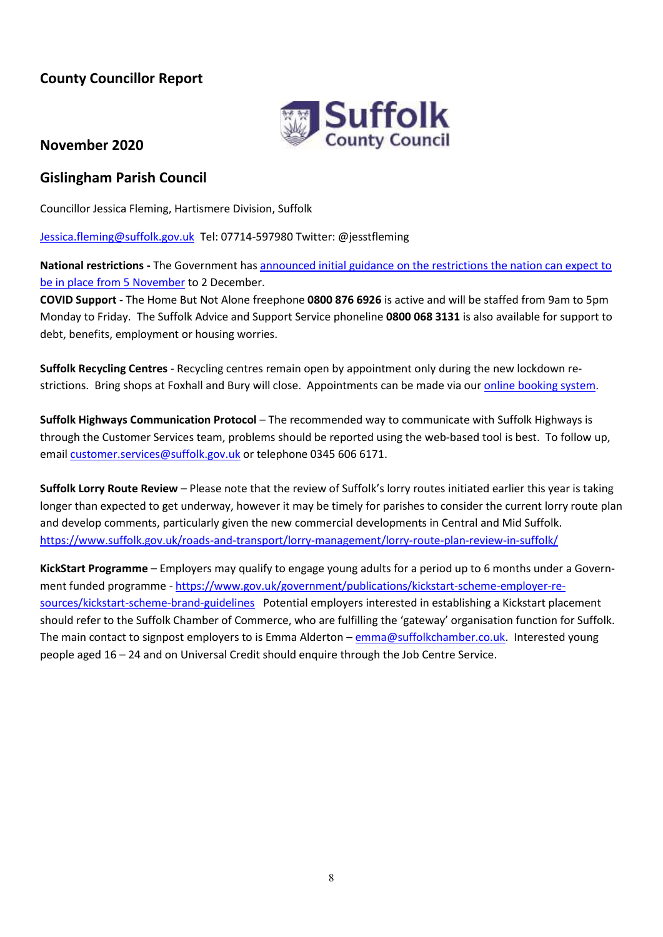# **County Councillor Report**



# **November 2020**

# **Gislingham Parish Council**

Councillor Jessica Fleming, Hartismere Division, Suffolk

[Jessica.fleming@suffolk.gov.uk](mailto:Jessica.fleming@suffolk.gov.uk) Tel: 07714-597980 Twitter: @jesstfleming

**National restrictions -** The Government ha[s announced initial guidance on the restrictions the nation can expect to](https://lnks.gd/l/eyJhbGciOiJIUzI1NiJ9.eyJidWxsZXRpbl9saW5rX2lkIjoxMTAsInVyaSI6ImJwMjpjbGljayIsImJ1bGxldGluX2lkIjoiMjAyMDExMDIuMjk3NzI4ODEiLCJ1cmwiOiJodHRwczovL3d3dy5nb3YudWsvZ3VpZGFuY2UvbmV3LW5hdGlvbmFsLXJlc3RyaWN0aW9ucy1mcm9tLTUtbm92ZW1iZXIifQ.-618d62NYH5NyFBOcRiX_3QiBgaMokKSecRGx_wpCXc/s/696677594/br/87809401992-l)  [be in place from 5 November](https://lnks.gd/l/eyJhbGciOiJIUzI1NiJ9.eyJidWxsZXRpbl9saW5rX2lkIjoxMTAsInVyaSI6ImJwMjpjbGljayIsImJ1bGxldGluX2lkIjoiMjAyMDExMDIuMjk3NzI4ODEiLCJ1cmwiOiJodHRwczovL3d3dy5nb3YudWsvZ3VpZGFuY2UvbmV3LW5hdGlvbmFsLXJlc3RyaWN0aW9ucy1mcm9tLTUtbm92ZW1iZXIifQ.-618d62NYH5NyFBOcRiX_3QiBgaMokKSecRGx_wpCXc/s/696677594/br/87809401992-l) to 2 December.

**COVID Support -** The Home But Not Alone freephone **0800 876 6926** is active and will be staffed from 9am to 5pm Monday to Friday. The Suffolk Advice and Support Service phoneline **0800 068 3131** is also available for support to debt, benefits, employment or housing worries.

**Suffolk Recycling Centres** - Recycling centres remain open by appointment only during the new lockdown restrictions. Bring shops at Foxhall and Bury will close. Appointments can be made via ou[r online booking system.](https://www.suffolk.gov.uk/planning-waste-and-environment/waste-and-recycling/book-a-recycling-centre-time-slot/)

**Suffolk Highways Communication Protocol** – The recommended way to communicate with Suffolk Highways is through the Customer Services team, problems should be reported using the web-based tool is best. To follow up, email [customer.services@suffolk.gov.uk](mailto:customer.services@suffolk.gov.uk) or telephone 0345 606 6171.

**Suffolk Lorry Route Review** – Please note that the review of Suffolk's lorry routes initiated earlier this year is taking longer than expected to get underway, however it may be timely for parishes to consider the current lorry route plan and develop comments, particularly given the new commercial developments in Central and Mid Suffolk. <https://www.suffolk.gov.uk/roads-and-transport/lorry-management/lorry-route-plan-review-in-suffolk/>

**KickStart Programme** – Employers may qualify to engage young adults for a period up to 6 months under a Government funded programme - [https://www.gov.uk/government/publications/kickstart-scheme-employer-re](https://www.gov.uk/government/publications/kickstart-scheme-employer-resources/kickstart-scheme-brand-guidelines)[sources/kickstart-scheme-brand-guidelines](https://www.gov.uk/government/publications/kickstart-scheme-employer-resources/kickstart-scheme-brand-guidelines) Potential employers interested in establishing a Kickstart placement should refer to the Suffolk Chamber of Commerce, who are fulfilling the 'gateway' organisation function for Suffolk. The main contact to signpost employers to is Emma Alderton – [emma@suffolkchamber.co.uk.](mailto:emma@suffolkchamber.co.uk) Interested young people aged 16 – 24 and on Universal Credit should enquire through the Job Centre Service.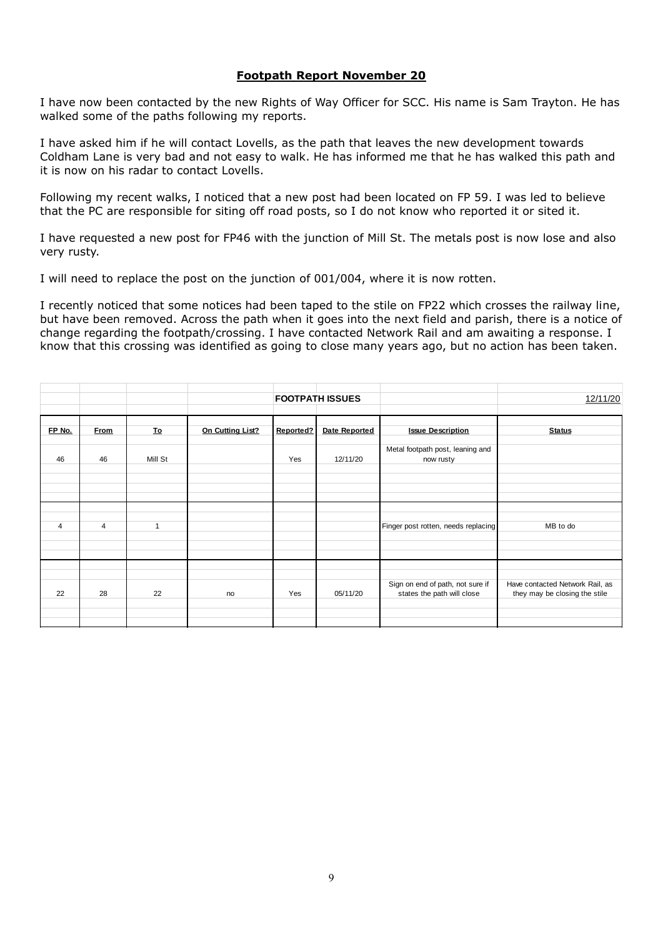#### **Footpath Report November 20**

I have now been contacted by the new Rights of Way Officer for SCC. His name is Sam Trayton. He has walked some of the paths following my reports.

I have asked him if he will contact Lovells, as the path that leaves the new development towards Coldham Lane is very bad and not easy to walk. He has informed me that he has walked this path and it is now on his radar to contact Lovells.

Following my recent walks, I noticed that a new post had been located on FP 59. I was led to believe that the PC are responsible for siting off road posts, so I do not know who reported it or sited it.

I have requested a new post for FP46 with the junction of Mill St. The metals post is now lose and also very rusty.

I will need to replace the post on the junction of 001/004, where it is now rotten.

I recently noticed that some notices had been taped to the stile on FP22 which crosses the railway line, but have been removed. Across the path when it goes into the next field and parish, there is a notice of change regarding the footpath/crossing. I have contacted Network Rail and am awaiting a response. I know that this crossing was identified as going to close many years ago, but no action has been taken.

|                |                |           |                  |           | <b>FOOTPATH ISSUES</b> |                                                                | 12/11/20                                                         |
|----------------|----------------|-----------|------------------|-----------|------------------------|----------------------------------------------------------------|------------------------------------------------------------------|
| FP No.         | <b>From</b>    | <b>To</b> | On Cutting List? | Reported? | Date Reported          | <b>Issue Description</b>                                       | <b>Status</b>                                                    |
| 46             | 46             | Mill St   |                  | Yes       | 12/11/20               | Metal footpath post, leaning and<br>now rusty                  |                                                                  |
| $\overline{4}$ | $\overline{4}$ | 1         |                  |           |                        | Finger post rotten, needs replacing                            | MB to do                                                         |
| 22             | 28             | 22        | no               | Yes       | 05/11/20               | Sign on end of path, not sure if<br>states the path will close | Have contacted Network Rail, as<br>they may be closing the stile |